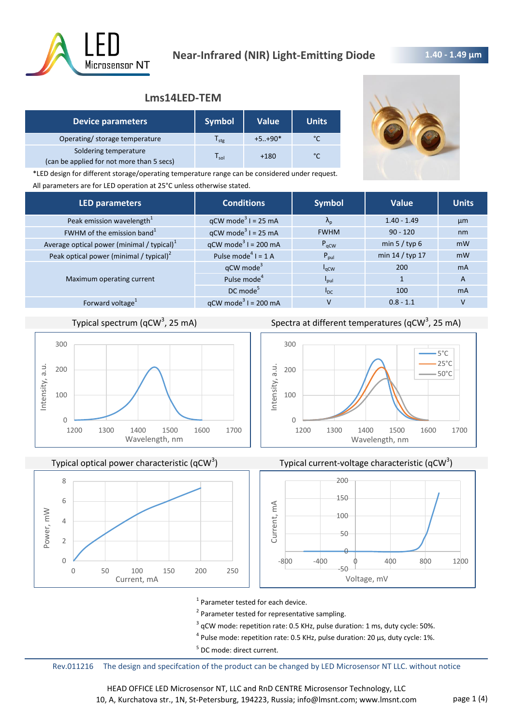

## **1.40 - 1.49 μm**

## **Lms14LED-TEM**

| <b>Device parameters</b>                                           | <b>Symbol</b>                  | Value    | <b>Units</b> |
|--------------------------------------------------------------------|--------------------------------|----------|--------------|
| Operating/ storage temperature                                     | l <sub>stg</sub>               | $+5+90*$ | °C           |
| Soldering temperature<br>(can be applied for not more than 5 secs) | $\mathsf{\Gamma}_\mathsf{sol}$ | $+180$   | °C           |



\*LED design for different storage/operating temperature range can be considered under request. All parameters are for LED operation at 25°C unless otherwise stated.

| <b>LED parameters</b>                         | <b>Conditions</b>                 | <b>Symbol</b>           | Value           | <b>Units</b>   |
|-----------------------------------------------|-----------------------------------|-------------------------|-----------------|----------------|
| Peak emission wavelength <sup>1</sup>         | $qCW \text{ mode}^3$ I = 25 mA    | $\Lambda_{\rm n}$       | $1.40 - 1.49$   | µm             |
| FWHM of the emission band <sup>1</sup>        | $qCW \text{ mode}^3$ I = 25 mA    | <b>FWHM</b>             | $90 - 120$      | nm             |
| Average optical power (minimal / typical) $1$ | $qCW \text{ mode}^3$ I = 200 mA   | P <sub>qCW</sub>        | min $5 /$ typ 6 | mW             |
| Peak optical power (minimal / typical) $2$    | Pulse mode <sup>4</sup> $I = 1$ A | $P_{\text{pul}}$        | min 14 / typ 17 | mW             |
|                                               | $qCW$ mode <sup>3</sup>           | $I_{\alpha CW}$         | 200             | m <sub>A</sub> |
| Maximum operating current                     | Pulse mode <sup>4</sup>           | <b>P</b> <sub>pul</sub> |                 | $\overline{A}$ |
|                                               | $DC$ mode <sup>5</sup>            | $I_{DC}$                | 100             | <b>mA</b>      |
| Forward voltage <sup>1</sup>                  | $qCW \text{ mode}^3$ I = 200 mA   |                         | $0.8 - 1.1$     | V              |

# Typical spectrum (qCW<sup>3</sup>, 25 mA)



Typical optical power characteristic  $(qCW^3)$ 



Spectra at different temperatures (qCW<sup>3</sup>, 25 mA)







<sup>1</sup> Parameter tested for each device.

- <sup>2</sup> Parameter tested for representative sampling.
- $3$  qCW mode: repetition rate: 0.5 KHz, pulse duration: 1 ms, duty cycle: 50%.
- $^4$  Pulse mode: repetition rate: 0.5 KHz, pulse duration: 20 µs, duty cycle: 1%.
- <sup>5</sup> DC mode: direct current.

Rev.011216 The design and specifcation of the product can be changed by LED Microsensor NT LLC. without notice

HEAD OFFICE LED Microsensor NT, LLC and RnD CENTRE Microsensor Technology, LLC 10, A, Kurchatova str., 1N, St-Petersburg, 194223, Russia; info@lmsnt.com; www.lmsnt.com page 1 (4)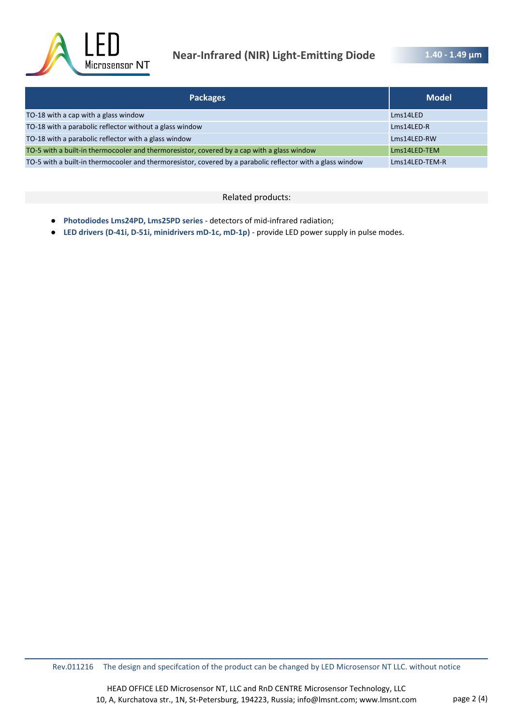

# **Near-Infrared (NIR) Light-Emitting Diode**

| <b>Packages</b>                                                                                            | <b>Model</b>   |
|------------------------------------------------------------------------------------------------------------|----------------|
| TO-18 with a cap with a glass window                                                                       | Lms14LED       |
| TO-18 with a parabolic reflector without a glass window                                                    | Lms14LED-R     |
| TO-18 with a parabolic reflector with a glass window                                                       | Lms14LED-RW    |
| TO-5 with a built-in thermocooler and thermoresistor, covered by a cap with a glass window                 | Lms14LED-TEM   |
| TO-5 with a built-in thermocooler and thermoresistor, covered by a parabolic reflector with a glass window | Lms14LED-TEM-R |

#### Related products:

- **Photodiodes Lms24PD, Lms25PD series**  detectors of mid-infrared radiation;
- **LED drivers (D-41i, D-51i, minidrivers mD-1c, mD-1p)**  provide LED power supply in pulse modes.

Rev.011216 The design and specifcation of the product can be changed by LED Microsensor NT LLC. without notice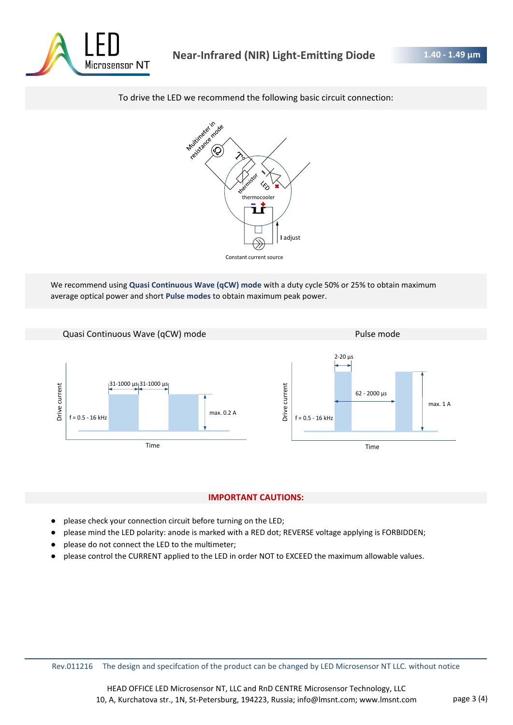

### To drive the LED we recommend the following basic circuit connection:



We recommend using **Quasi Continuous Wave (qCW) mode** with a duty cycle 50% or 25% to obtain maximum average optical power and short **Pulse modes** to obtain maximum peak power.



#### **IMPORTANT CAUTIONS:**

- please check your connection circuit before turning on the LED;
- please mind the LED polarity: anode is marked with a RED dot; REVERSE voltage applying is FORBIDDEN;
- please do not connect the LED to the multimeter;
- please control the CURRENT applied to the LED in order NOT to EXCEED the maximum allowable values.